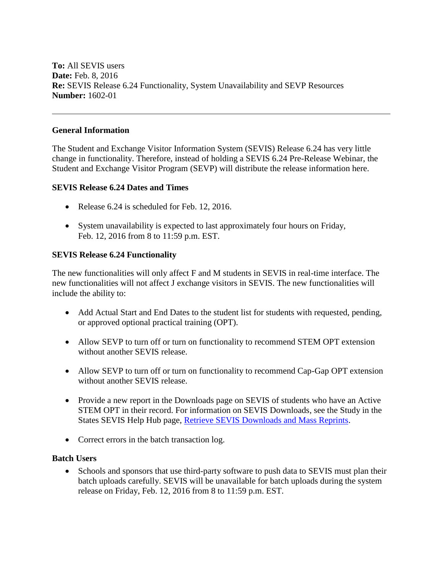**To:** All SEVIS users **Date:** Feb. 8, 2016 **Re:** SEVIS Release 6.24 Functionality, System Unavailability and SEVP Resources **Number:** 1602-01

### **General Information**

The Student and Exchange Visitor Information System (SEVIS) Release 6.24 has very little change in functionality. Therefore, instead of holding a SEVIS 6.24 Pre-Release Webinar, the Student and Exchange Visitor Program (SEVP) will distribute the release information here.

### **SEVIS Release 6.24 Dates and Times**

- Release 6.24 is scheduled for Feb. 12, 2016.
- System unavailability is expected to last approximately four hours on Friday, Feb. 12, 2016 from 8 to 11:59 p.m. EST.

### **SEVIS Release 6.24 Functionality**

The new functionalities will only affect F and M students in SEVIS in real-time interface. The new functionalities will not affect J exchange visitors in SEVIS. The new functionalities will include the ability to:

- Add Actual Start and End Dates to the student list for students with requested, pending, or approved optional practical training (OPT).
- Allow SEVP to turn off or turn on functionality to recommend STEM OPT extension without another SEVIS release.
- Allow SEVP to turn off or turn on functionality to recommend Cap-Gap OPT extension without another SEVIS release.
- Provide a new report in the Downloads page on SEVIS of students who have an Active STEM OPT in their record. For information on SEVIS Downloads, see the Study in the States SEVIS Help Hub page, [Retrieve SEVIS Downloads and Mass Reprints.](https://studyinthestates.dhs.gov/sevis-help-hub/getting-started/sevis-basics/retrieve-sevis-downloads-and-mass-reprints)
- Correct errors in the batch transaction log.

### **Batch Users**

• Schools and sponsors that use third-party software to push data to SEVIS must plan their batch uploads carefully. SEVIS will be unavailable for batch uploads during the system release on Friday, Feb. 12, 2016 from 8 to 11:59 p.m. EST.